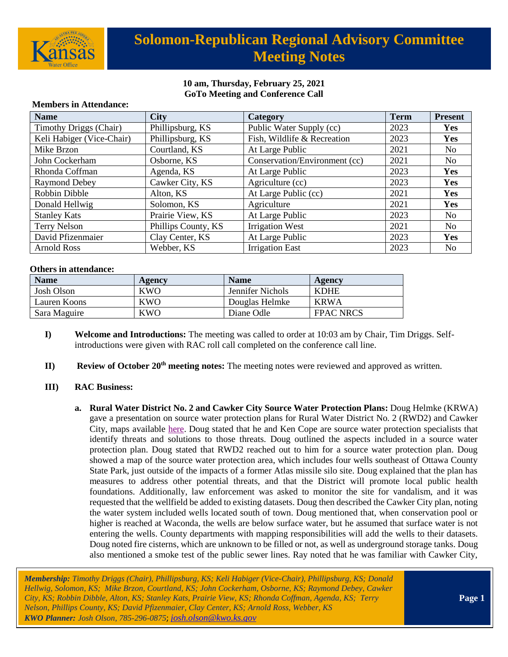

# **Solomon-Republican Regional Advisory Committee Meeting Notes**

### **10 am, Thursday, February 25, 2021 GoTo Meeting and Conference Call**

| <b>Name</b>                   | <b>City</b>         | Category                      | <b>Term</b> | <b>Present</b> |
|-------------------------------|---------------------|-------------------------------|-------------|----------------|
| <b>Timothy Driggs (Chair)</b> | Phillipsburg, KS    | Public Water Supply (cc)      | 2023        | Yes            |
| Keli Habiger (Vice-Chair)     | Phillipsburg, KS    | Fish, Wildlife & Recreation   | 2023        | Yes            |
| Mike Brzon                    | Courtland, KS       | At Large Public               | 2021        | N <sub>0</sub> |
| John Cockerham                | Osborne, KS         | Conservation/Environment (cc) | 2021        | N <sub>0</sub> |
| Rhonda Coffman                | Agenda, KS          | At Large Public               | 2023        | Yes            |
| Raymond Debey                 | Cawker City, KS     | Agriculture (cc)              | 2023        | Yes            |
| Robbin Dibble                 | Alton, KS           | At Large Public (cc)          | 2021        | Yes            |
| Donald Hellwig                | Solomon, KS         | Agriculture                   | 2021        | Yes            |
| <b>Stanley Kats</b>           | Prairie View, KS    | At Large Public               | 2023        | N <sub>0</sub> |
| Terry Nelson                  | Phillips County, KS | <b>Irrigation West</b>        | 2021        | N <sub>0</sub> |
| David Pfizenmaier             | Clay Center, KS     | At Large Public               | 2023        | Yes            |
| <b>Arnold Ross</b>            | Webber, KS          | <b>Irrigation East</b>        | 2023        | N <sub>0</sub> |

#### **Members in Attendance:**

#### **Others in attendance:**

| <b>Name</b>  | Agency     | <b>Name</b>             | Agency           |
|--------------|------------|-------------------------|------------------|
| Josh Olson   | <b>KWO</b> | <b>Jennifer Nichols</b> | <b>KDHE</b>      |
| Lauren Koons | KWO        | Douglas Helmke          | <b>KRWA</b>      |
| Sara Maguire | <b>KWO</b> | Diane Odle              | <b>FPAC NRCS</b> |

- **I) Welcome and Introductions:** The meeting was called to order at 10:03 am by Chair, Tim Driggs. Selfintroductions were given with RAC roll call completed on the conference call line.
- **II) Review of October 20th meeting notes:** The meeting notes were reviewed and approved as written.

#### **III) RAC Business:**

**a. Rural Water District No. 2 and Cawker City Source Water Protection Plans:** Doug Helmke (KRWA) gave a presentation on source water protection plans for Rural Water District No. 2 (RWD2) and Cawker City, maps available [here.](https://kwo.ks.gov/docs/default-source/regional-advisory-committees/solomon-republican-rac/solomon-republican-rac-presentations/source_water_protection_maps.pdf?sfvrsn=3f088014_2) Doug stated that he and Ken Cope are source water protection specialists that identify threats and solutions to those threats. Doug outlined the aspects included in a source water protection plan. Doug stated that RWD2 reached out to him for a source water protection plan. Doug showed a map of the source water protection area, which includes four wells southeast of Ottawa County State Park, just outside of the impacts of a former Atlas missile silo site. Doug explained that the plan has measures to address other potential threats, and that the District will promote local public health foundations. Additionally, law enforcement was asked to monitor the site for vandalism, and it was requested that the wellfield be added to existing datasets. Doug then described the Cawker City plan, noting the water system included wells located south of town. Doug mentioned that, when conservation pool or higher is reached at Waconda, the wells are below surface water, but he assumed that surface water is not entering the wells. County departments with mapping responsibilities will add the wells to their datasets. Doug noted fire cisterns, which are unknown to be filled or not, as well as underground storage tanks. Doug also mentioned a smoke test of the public sewer lines. Ray noted that he was familiar with Cawker City,

*Membership: Timothy Driggs (Chair), Phillipsburg, KS; Keli Habiger (Vice-Chair), Phillipsburg, KS; Donald Hellwig, Solomon, KS; Mike Brzon, Courtland, KS; John Cockerham, Osborne, KS; Raymond Debey, Cawker City, KS; Robbin Dibble, Alton, KS; Stanley Kats, Prairie View, KS; Rhonda Coffman, Agenda, KS; Terry Nelson, Phillips County, KS; David Pfizenmaier, Clay Center, KS; Arnold Ross, Webber, KS KWO Planner: Josh Olson, 785-296-0875*; *[josh.olson@kwo.ks.gov](mailto:josh.olson@kwo.ks.gov)*

**Page 1**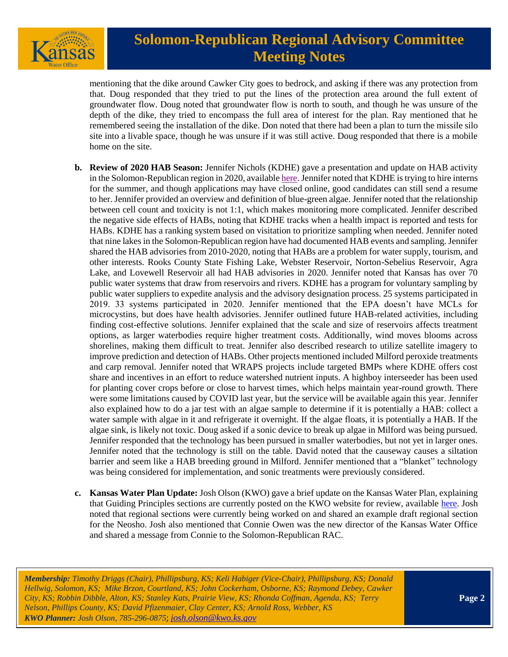

# **Solomon-Republican Regional Advisory Committee Meeting Notes**

mentioning that the dike around Cawker City goes to bedrock, and asking if there was any protection from that. Doug responded that they tried to put the lines of the protection area around the full extent of groundwater flow. Doug noted that groundwater flow is north to south, and though he was unsure of the depth of the dike, they tried to encompass the full area of interest for the plan. Ray mentioned that he remembered seeing the installation of the dike. Don noted that there had been a plan to turn the missile silo site into a livable space, though he was unsure if it was still active. Doug responded that there is a mobile home on the site.

- **b. Review of 2020 HAB Season:** Jennifer Nichols (KDHE) gave a presentation and update on HAB activity in the Solomon-Republican region in 2020, availabl[e here.](https://kwo.ks.gov/docs/default-source/regional-advisory-committees/solomon-republican-rac/solomon-republican-rac-presentations/solrep-hab-update-feb-2021-final.pdf?sfvrsn=22088014_2) Jennifer noted that KDHE is trying to hire interns for the summer, and though applications may have closed online, good candidates can still send a resume to her. Jennifer provided an overview and definition of blue-green algae. Jennifer noted that the relationship between cell count and toxicity is not 1:1, which makes monitoring more complicated. Jennifer described the negative side effects of HABs, noting that KDHE tracks when a health impact is reported and tests for HABs. KDHE has a ranking system based on visitation to prioritize sampling when needed. Jennifer noted that nine lakes in the Solomon-Republican region have had documented HAB events and sampling. Jennifer shared the HAB advisories from 2010-2020, noting that HABs are a problem for water supply, tourism, and other interests. Rooks County State Fishing Lake, Webster Reservoir, Norton-Sebelius Reservoir, Agra Lake, and Lovewell Reservoir all had HAB advisories in 2020. Jennifer noted that Kansas has over 70 public water systems that draw from reservoirs and rivers. KDHE has a program for voluntary sampling by public water suppliers to expedite analysis and the advisory designation process. 25 systems participated in 2019. 33 systems participated in 2020. Jennifer mentioned that the EPA doesn't have MCLs for microcystins, but does have health advisories. Jennifer outlined future HAB-related activities, including finding cost-effective solutions. Jennifer explained that the scale and size of reservoirs affects treatment options, as larger waterbodies require higher treatment costs. Additionally, wind moves blooms across shorelines, making them difficult to treat. Jennifer also described research to utilize satellite imagery to improve prediction and detection of HABs. Other projects mentioned included Milford peroxide treatments and carp removal. Jennifer noted that WRAPS projects include targeted BMPs where KDHE offers cost share and incentives in an effort to reduce watershed nutrient inputs. A highboy interseeder has been used for planting cover crops before or close to harvest times, which helps maintain year-round growth. There were some limitations caused by COVID last year, but the service will be available again this year. Jennifer also explained how to do a jar test with an algae sample to determine if it is potentially a HAB: collect a water sample with algae in it and refrigerate it overnight. If the algae floats, it is potentially a HAB. If the algae sink, is likely not toxic. Doug asked if a sonic device to break up algae in Milford was being pursued. Jennifer responded that the technology has been pursued in smaller waterbodies, but not yet in larger ones. Jennifer noted that the technology is still on the table. David noted that the causeway causes a siltation barrier and seem like a HAB breeding ground in Milford. Jennifer mentioned that a "blanket" technology was being considered for implementation, and sonic treatments were previously considered.
- **c. Kansas Water Plan Update:** Josh Olson (KWO) gave a brief update on the Kansas Water Plan, explaining that Guiding Principles sections are currently posted on the KWO website for review, available [here.](https://kwo.ks.gov/water-vision-water-plan/water-plan) Josh noted that regional sections were currently being worked on and shared an example draft regional section for the Neosho. Josh also mentioned that Connie Owen was the new director of the Kansas Water Office and shared a message from Connie to the Solomon-Republican RAC.

*Membership: Timothy Driggs (Chair), Phillipsburg, KS; Keli Habiger (Vice-Chair), Phillipsburg, KS; Donald Hellwig, Solomon, KS; Mike Brzon, Courtland, KS; John Cockerham, Osborne, KS; Raymond Debey, Cawker City, KS; Robbin Dibble, Alton, KS; Stanley Kats, Prairie View, KS; Rhonda Coffman, Agenda, KS; Terry Nelson, Phillips County, KS; David Pfizenmaier, Clay Center, KS; Arnold Ross, Webber, KS KWO Planner: Josh Olson, 785-296-0875*; *[josh.olson@kwo.ks.gov](mailto:josh.olson@kwo.ks.gov)*

**Page 2**